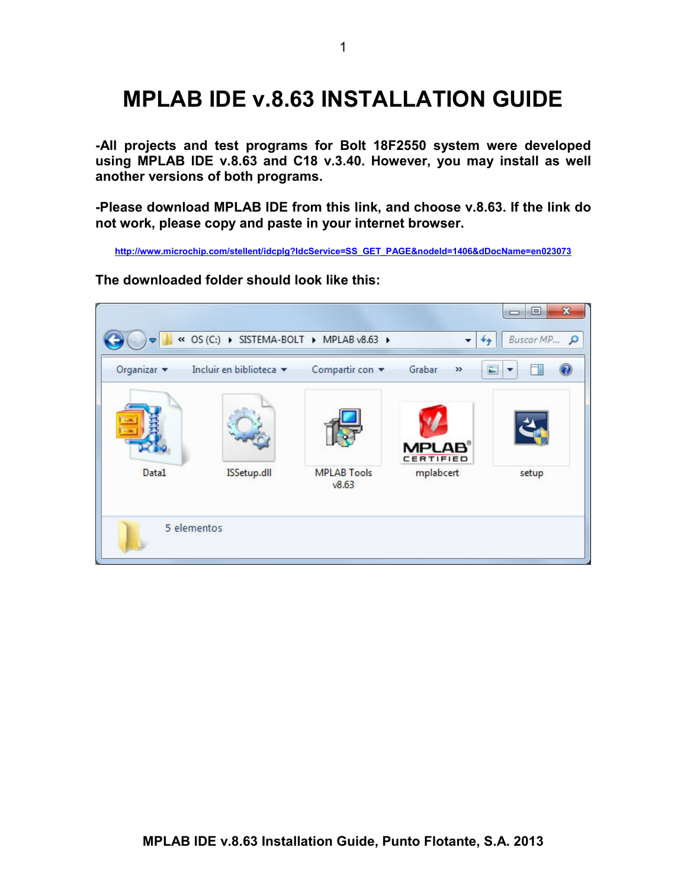# **MPLAB IDE v.8.63 INSTALLATION GUIDE**

**-All projects and test programs for Bolt 18F2550 system were developed using MPLAB IDE v.8.63 and C18 v.3.40. However, you may install as well another versions of both programs.** 

**-Please download MPLAB IDE from this link, and choose v.8.63. If the link do not work, please copy and paste in your internet browser.** 

**http://www.microchip.com/stellent/idcplg?IdcService=SS\_GET\_PAGE&nodeId=1406&dDocName=en023073**

**The downloaded folder should look like this:** 

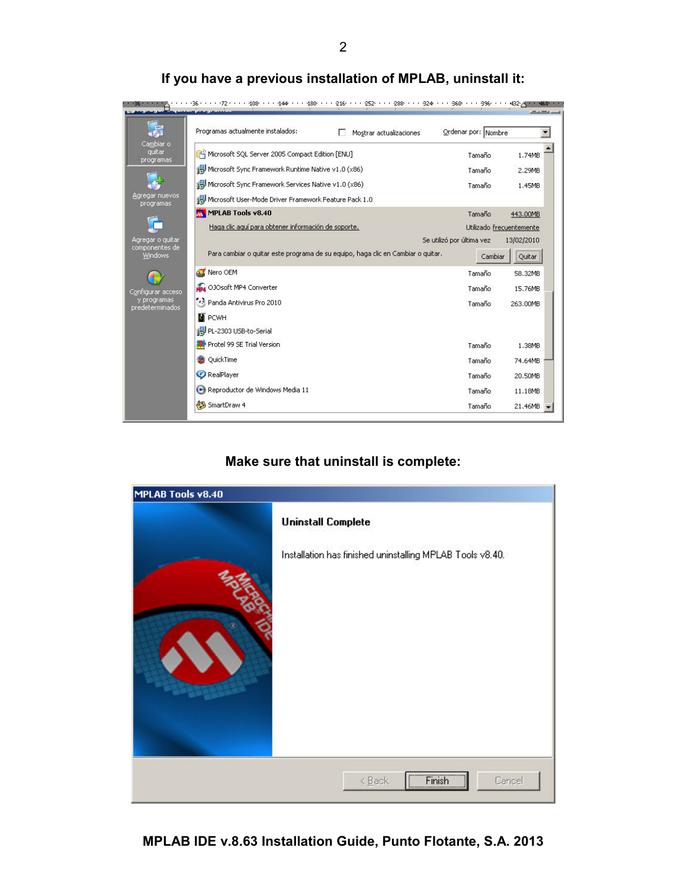|                                  | Programas actualmente instalados:<br>Mostrar actualizaciones                     | Ordenar por: Nombre       |                          |
|----------------------------------|----------------------------------------------------------------------------------|---------------------------|--------------------------|
| Cambiar o<br>quitar<br>programas | Microsoft SQL Server 2005 Compact Edition [ENU]                                  | Tamaño                    | 1.74MB                   |
|                                  | Microsoft Sync Framework Runtime Native v1.0 (x86)                               | Tamaño                    | 2.29MB                   |
|                                  | Microsoft Sync Framework Services Native v1.0 (x86)                              | Tamaño                    | 1.45MB                   |
| Agregar nuevos<br>programas      | Microsoft User-Mode Driver Framework Feature Pack 1.0                            |                           |                          |
|                                  | MPLAB Tools v8.40                                                                | Tamaño                    | 443.00MB                 |
|                                  | Haga clic aquí para obtener información de soporte.                              |                           | Utilizado frecuentemente |
| Agregar o guitar                 |                                                                                  | Se utilizó por última vez | 13/02/2010               |
| componentes de<br><b>Windows</b> | Para cambiar o quitar este programa de su equipo, haga clic en Cambiar o quitar. | Cambiar                   | Quitar                   |
|                                  | Nero OEM                                                                         | Tamaño                    | 58.32MB                  |
| Configurar acceso                | NP4 OJOsoft MP4 Converter                                                        | Tamaño                    | 15.76MB                  |
| y programas<br>predeterminados   | •ि Panda Antivirus Pro 2010                                                      | Tamaño                    | 263.00MB                 |
|                                  | <b>N</b> PCWH                                                                    |                           |                          |
|                                  | PL-2303 USB-to-Serial                                                            |                           |                          |
|                                  | Protel 99 SE Trial Version                                                       | Tamaño                    | 1.38MB                   |
|                                  | QuickTime                                                                        | Tamaño                    | 74.64MB                  |
|                                  | <b>O</b> RealPlayer                                                              | Tamaño                    | 20.50MB                  |
|                                  | Reproductor de Windows Media 11                                                  | Tamaño                    | 11.18MB                  |
|                                  | SmartDraw 4                                                                      | Tamaño                    | 21.46MB                  |

## **If you have a previous installation of MPLAB, uninstall it:**

## **Make sure that uninstall is complete:**

| MPLAB Tools v8.40 |                                                           |
|-------------------|-----------------------------------------------------------|
|                   | <b>Uninstall Complete</b>                                 |
|                   | Installation has finished uninstalling MPLAB Tools v8.40. |
|                   |                                                           |
|                   | Finish<br>Cancel<br>$\leq$ Back                           |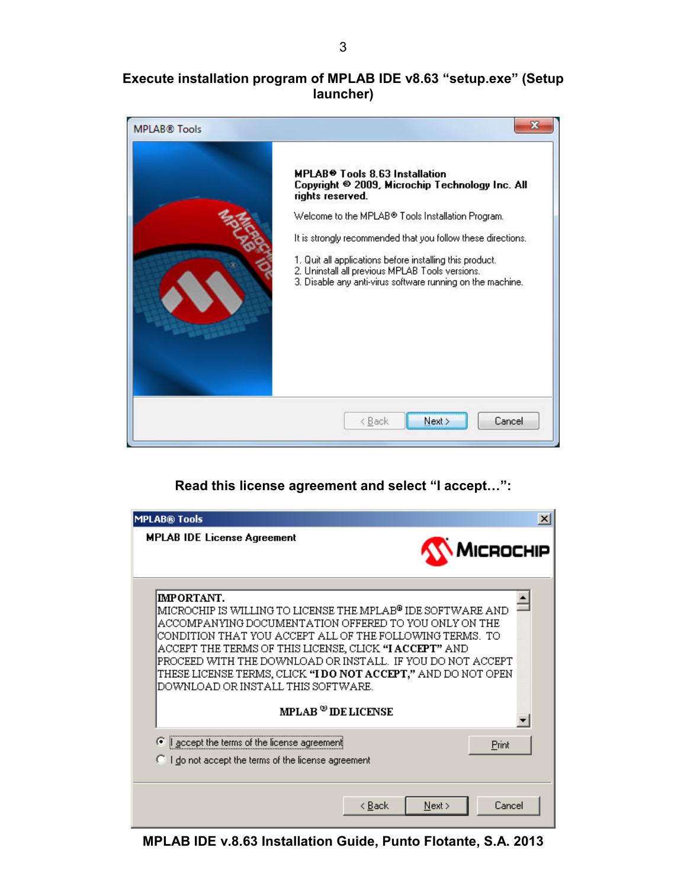#### **Execute installation program of MPLAB IDE v8.63 "setup.exe" (Setup launcher)**



#### **Read this license agreement and select "I accept…":**



**MPLAB IDE v.8.63 Installation Guide, Punto Flotante, S.A. 2013**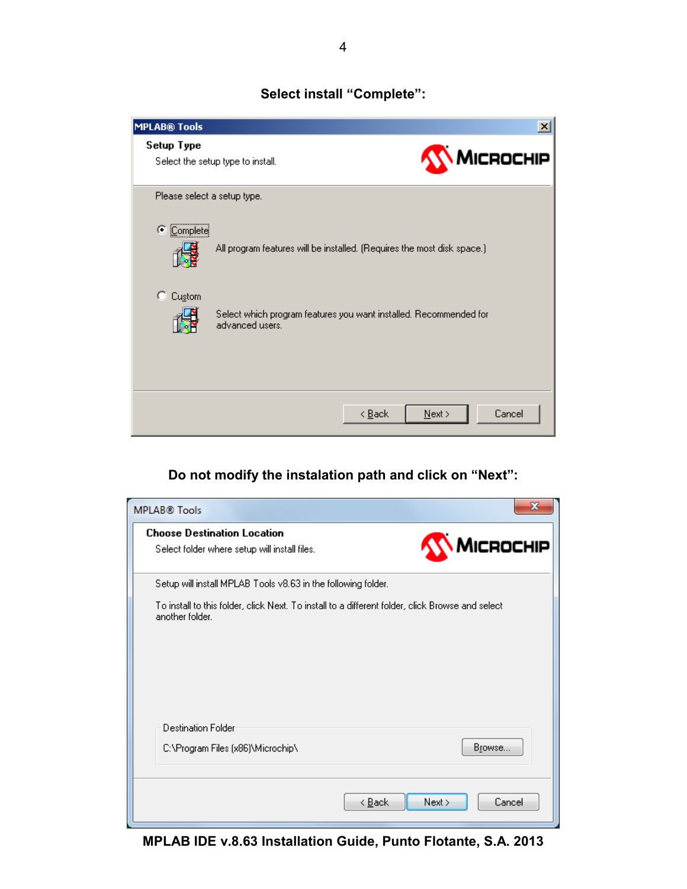#### **Select install "Complete":**



# **Do not modify the instalation path and click on "Next":**

| <b>MPLAB® Tools</b>                                                                                                 |                                  |
|---------------------------------------------------------------------------------------------------------------------|----------------------------------|
| <b>Choose Destination Location</b><br>Select folder where setup will install files.                                 | MICROCHIP                        |
| Setup will install MPLAB Tools v8.63 in the following folder.                                                       |                                  |
| To install to this folder, click Next. To install to a different folder, click Browse and select<br>another folder. |                                  |
| <b>Destination Folder</b>                                                                                           |                                  |
| C:\Program Files (x86)\Microchip\                                                                                   | Browse                           |
|                                                                                                                     | < <u>B</u> ack<br>Next<br>Cancel |

**MPLAB IDE v.8.63 Installation Guide, Punto Flotante, S.A. 2013**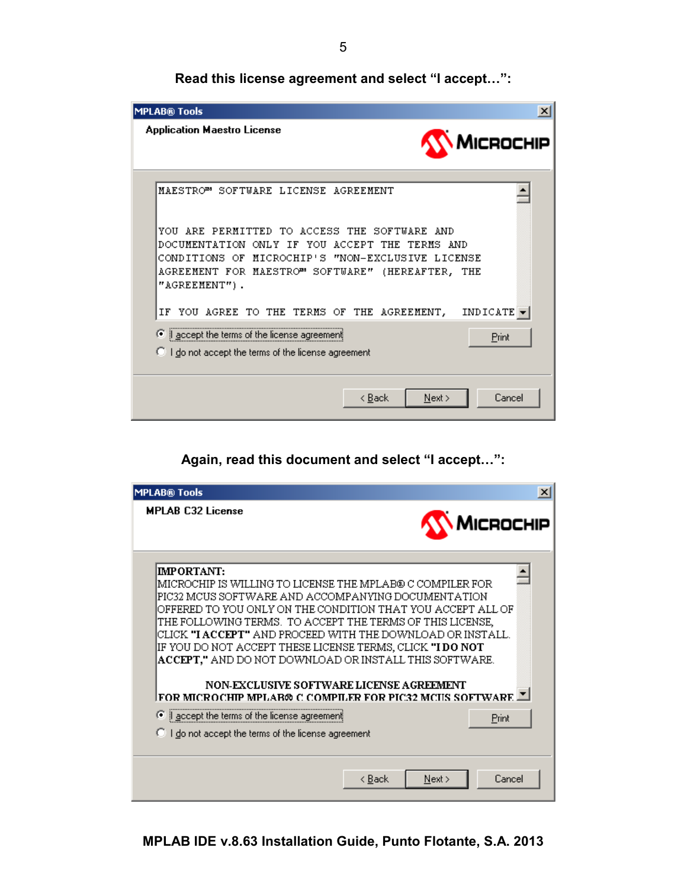**Read this license agreement and select "I accept…":**



#### **Again, read this document and select "I accept…":**

| <b>MPLAB® Tools</b>                                                                                                                                                                                                                                                                                                                                                                                                                                                                                              | $\vert x \vert$                                             |
|------------------------------------------------------------------------------------------------------------------------------------------------------------------------------------------------------------------------------------------------------------------------------------------------------------------------------------------------------------------------------------------------------------------------------------------------------------------------------------------------------------------|-------------------------------------------------------------|
| <b>MPLAB C32 License</b>                                                                                                                                                                                                                                                                                                                                                                                                                                                                                         | MICROCHIP                                                   |
| IMPORTANT:<br>IMICROCHIP IS WILLING TO LICENSE THE MPLAB® C COMPILER FOR<br>PIC32 MCUS SOFTWARE AND ACCOMPANYING DOCUMENTATION<br>OFFERED TO YOU ONLY ON THE CONDITION THAT YOU ACCEPT ALL OF<br>THE FOLLOWING TERMS. TO ACCEPT THE TERMS OF THIS LICENSE,<br>CLICK "I ACCEPT" AND PROCEED WITH THE DOWNLOAD OR INSTALL.<br>IF YOU DO NOT ACCEPT THESE LICENSE TERMS, CLICK <b>"I DO NOT</b><br><b>ACCEPT,"</b> AND DO NOT DOWNLOAD OR INSTALL THIS SOFTWARE.<br><b>NON-EXCLUSIVE SOFTWARE LICENSE AGREEMENT</b> |                                                             |
| FOR MICROCHIP MPLAR® C COMPILER FOR PIC32 MCIIS SOFTWARE ™                                                                                                                                                                                                                                                                                                                                                                                                                                                       |                                                             |
| © accept the terms of the license agreement                                                                                                                                                                                                                                                                                                                                                                                                                                                                      | Print                                                       |
|                                                                                                                                                                                                                                                                                                                                                                                                                                                                                                                  | <b>C</b> I do not accept the terms of the license agreement |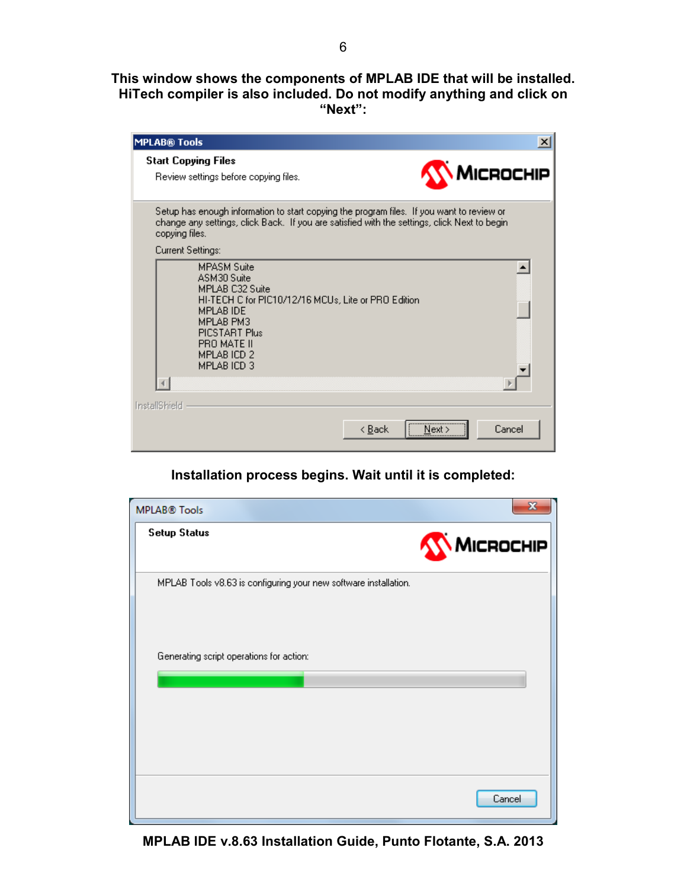**This window shows the components of MPLAB IDE that will be installed. HiTech compiler is also included. Do not modify anything and click on "Next":** 

| <b>MPLAB® Tools</b>                                                                                                                                                                                                | $\vert x \vert$                    |
|--------------------------------------------------------------------------------------------------------------------------------------------------------------------------------------------------------------------|------------------------------------|
| <b>Start Copying Files</b><br>Review settings before copying files.                                                                                                                                                | MICROCHIP                          |
| Setup has enough information to start copying the program files. If you want to review or<br>change any settings, click Back. If you are satisfied with the settings, click Next to begin<br>copying files.        |                                    |
| Current Settings:                                                                                                                                                                                                  |                                    |
| <b>MPASM Suite</b><br>ASM30 Suite<br>MPLAB C32 Suite<br>HI-TECH C for PIC10/12/16 MCUs, Lite or PRO Edition<br><b>MPLAB IDE</b><br>MPI AR PM3<br>PICSTART Plus<br>PRO MATE II<br><b>MPLAB ICD 2</b><br>MPLAB ICD 3 |                                    |
|                                                                                                                                                                                                                    |                                    |
| InstallShield                                                                                                                                                                                                      |                                    |
|                                                                                                                                                                                                                    | Cancel<br>< <u>B</u> ack<br>Next : |

#### **Installation process begins. Wait until it is completed:**

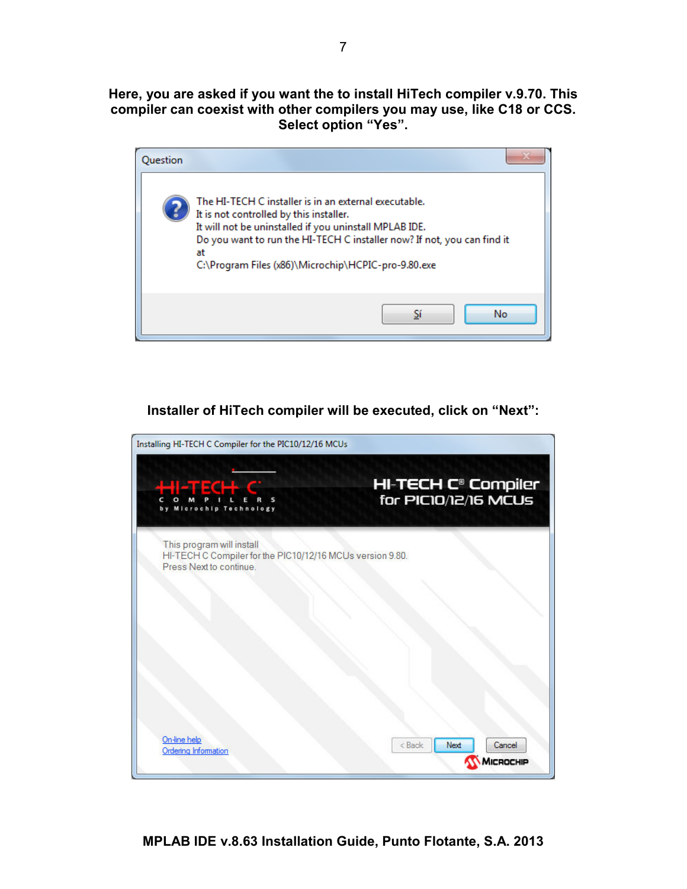**Here, you are asked if you want the to install HiTech compiler v.9.70. This compiler can coexist with other compilers you may use, like C18 or CCS. Select option "Yes".** 

| Question |                                                                                                                                                                                                                                                                                                    |
|----------|----------------------------------------------------------------------------------------------------------------------------------------------------------------------------------------------------------------------------------------------------------------------------------------------------|
|          | The HI-TECH C installer is in an external executable.<br>It is not controlled by this installer.<br>It will not be uninstalled if you uninstall MPLAB IDE.<br>Do you want to run the HI-TECH C installer now? If not, you can find it<br>at<br>C:\Program Files (x86)\Microchip\HCPIC-pro-9.80.exe |
|          | No<br>ς,                                                                                                                                                                                                                                                                                           |

**Installer of HiTech compiler will be executed, click on "Next":** 

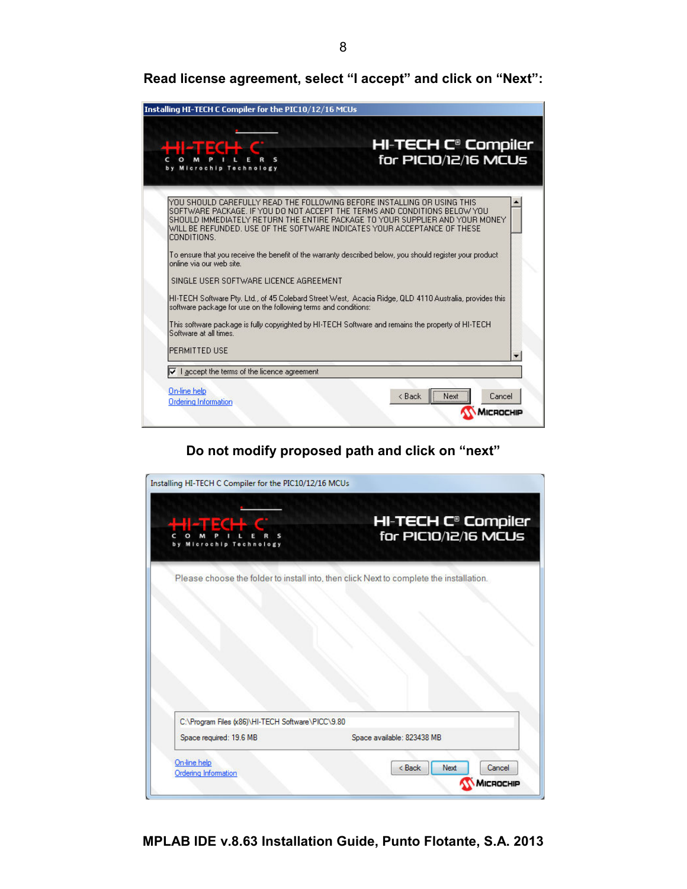**Read license agreement, select "I accept" and click on "Next":** 

| Microchip Technology                                            | <b>HI-TECH C® Compiler</b><br>for PIC10/12/16 MCUs                                                                                                                                                                                                                                                                 |
|-----------------------------------------------------------------|--------------------------------------------------------------------------------------------------------------------------------------------------------------------------------------------------------------------------------------------------------------------------------------------------------------------|
| CONDITIONS.                                                     | YOU SHOULD CAREFULLY READ THE FOLLOWING BEFORE INSTALLING OR USING THIS<br>ISOFTWARE PACKAGE. IF YOU DO NOT ACCEPT THE TERMS AND CONDITIONS BELOW YOU<br>ISHOULD IMMEDIATELY RETURN THE ENTIRE PACKAGE TO YOUR SUPPLIER AND YOUR MONEY<br>WILL BE REFUNDED. USE OF THE SOFTWARE INDICATES YOUR ACCEPTANCE OF THESE |
| online via our web site.                                        | To ensure that you receive the benefit of the warranty described below, you should register your product                                                                                                                                                                                                           |
| SINGLE USER SOFTWARE LICENCE AGREEMENT                          |                                                                                                                                                                                                                                                                                                                    |
| software package for use on the following terms and conditions: | HI-TECH Software Pty, Ltd., of 45 Colebard Street West, Acacia Ridge, QLD 4110 Australia, provides this                                                                                                                                                                                                            |
| Software at all times                                           | This software package is fully copyrighted by HI-TECH Software and remains the property of HI-TECH                                                                                                                                                                                                                 |
| PERMITTED USE                                                   |                                                                                                                                                                                                                                                                                                                    |
|                                                                 |                                                                                                                                                                                                                                                                                                                    |

**Do not modify proposed path and click on "next"** 

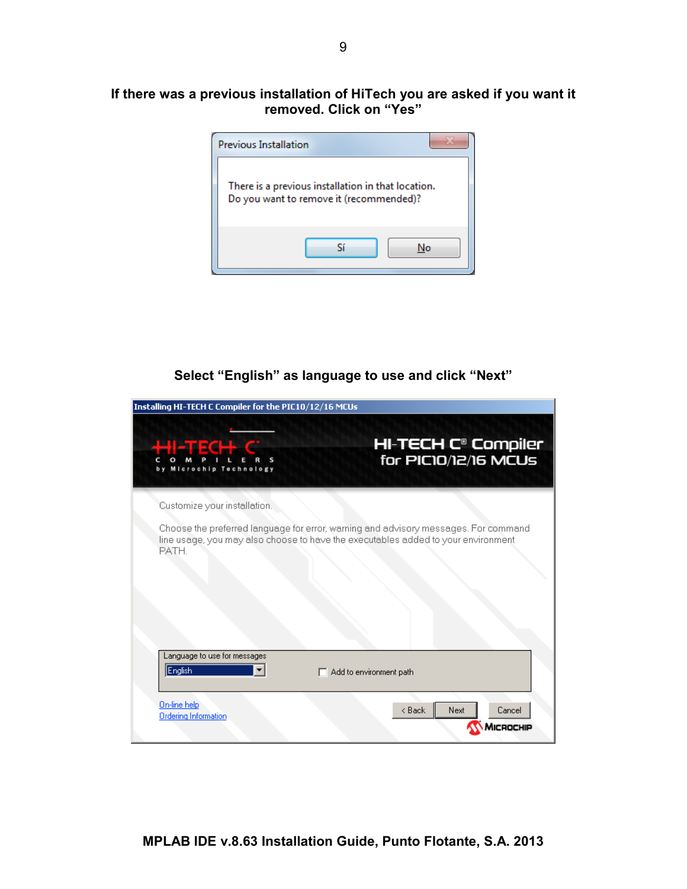#### **If there was a previous installation of HiTech you are asked if you want it removed. Click on "Yes"**



## **Select "English" as language to use and click "Next"**

| Installing HI-TECH C Compiler for the PIC10/12/16 MCUs |                                                                                                                                                                          |
|--------------------------------------------------------|--------------------------------------------------------------------------------------------------------------------------------------------------------------------------|
| d all ECH<br>Microchip Technology                      | <b>HI-TECH C<sup>®</sup> Compiler</b><br>for PIC10/12/16 MCUs                                                                                                            |
| Customize your installation.                           |                                                                                                                                                                          |
| PATH.                                                  | Choose the preferred language for error, warning and advisory messages. For command<br>line usage, you may also choose to have the executables added to your environment |
| Language to use for messages<br>English                | $\Box$ Add to environment path                                                                                                                                           |
| On-line help<br><b>Ordering Information</b>            | < Back<br>Next<br>Cancel<br>CROCHIP                                                                                                                                      |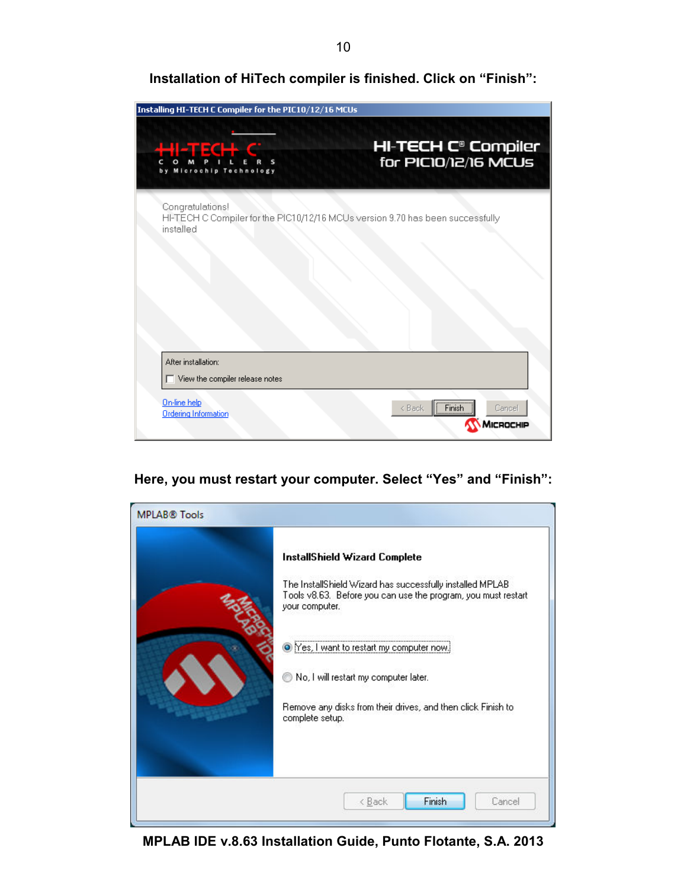**Installation of HiTech compiler is finished. Click on "Finish":** 

| Installing HI-TECH C Compiler for the PIC10/12/16 MCUs |                                                                                |
|--------------------------------------------------------|--------------------------------------------------------------------------------|
| H <sub>ow</sub> ech c<br>Microchip Technology          | <b>HI-TECH C<sup>®</sup> Compiler</b><br>for PIC10/12/16 MCUs                  |
| Congratulations!<br>installed                          | HI-TECH C Compiler for the PIC10/12/16 MCUs version 9.70 has been successfully |
|                                                        |                                                                                |
| After installation:<br>View the compiler release notes |                                                                                |
| On-line help<br><b>Ordering Information</b>            | Finish<br>< Back<br>Cancel<br><b>ICROCHIP</b>                                  |

#### **Here, you must restart your computer. Select "Yes" and "Finish":**



**MPLAB IDE v.8.63 Installation Guide, Punto Flotante, S.A. 2013**